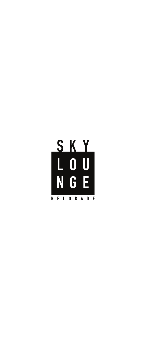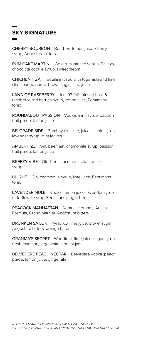# **SKY SIGNATURE**

CHERRY BOURBON Bourbon, lemon juice, cherry syrup, Angostura bitters

RUM CAKE MARTINI Gold rum infused vanilla, Baileys, chocolate cookie syrup, sweet cream

CHICHEN ITZA Tequila infused with togarashi and lime skin, mango puree, brown sugar, lime juice

LAND OF RASPBERRY Juni 93 R/P infused basil & raspberry, red berries syrup, lemon juice, Fentimans tonic

ROUNDABOUT PASSION Vodka, mint, syrup, passion fruit puree, lemon juice

BELGRADE SIDE Bombay gin, lime, juice, simple syrup, lavender syrup, mint leaves

AMBER FIZZ Gin, beer jam, chamomile syrup, passion fruit puree, lemon juice

BREEZY VIBE Gin, beer, cucumber, chamomile syrup

LILIQUE Gin, chamomile syrup, lime juice, Fentimans tonic

LAVENDER MULE Vodka, lemon juice, lavender syrup, elderflower syrup, Fentimans ginger beer

PEACOCK MANHATTAN Domestic brandy, Antica Formula, Grand Marnier, Angostura bitters

DRUNKEN SAILOR Pyrat XO, lime juice, brown sugar, Angostura bitters, orange bitters

GRANMA'S SECRET Woodford, lime juice, sugar syrup, fresh rosemary, egg white, apricot jam

BELVEDERE PEACH NECTAR Belvedere vodka, peach puree, lemon juice, ginger ale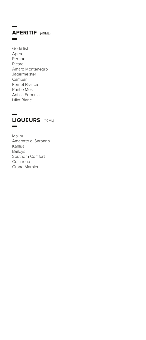### **APERITIF** (40ML)  $\overline{\phantom{0}}$

Gorki list Aperol Pernod Ricard Amaro Montenegro Jagermeister Campari Fernet Branca Punt e Mes Antica Formula Lillet Blanc



Malibu Amaretto di Saronno Kahlua Baileys Southern Comfort Cointreau Grand Marnier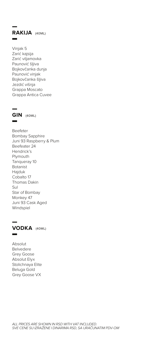

Vinjak 5 Zarić kajsija Zarić viljamovka Paunović šljiva Bojkovčanka dunja Paunović vinjak Bojkovčanka šljiva Jezdić višnja Grappa Moscato Grappa Antica Cuvee



Beefeter Bombay Sapphire Juni 93 Raspberry & Plum Beefeater 24 Hendrick's Plymouth Tanqueray 10 Botanist Hajduk Cobalto 17 Thomas Dakin Sul Star of Bombay Monkey 47 Juni 93 Cask Aged Windspiel



Absolut Belvedere Grey Goose Absolut Elyx Stolichnaya Elite Beluga Gold Grey Goose VX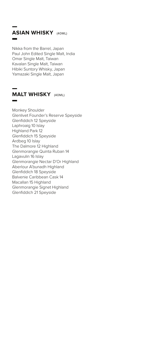# **ASIAN WHISKY** (40ML)

Nikka from the Barrel, Japan Paul John Edited Single Malt, India Omar Single Malt, Taiwan Kavalan Single Malt, Taiwan Hibiki Suntory Whisky, Japan Yamazaki Single Malt, Japan

### **MALT WHISKY** (40ML)

Monkey Shoulder Glenlivet Founder's Reserve Speyside Glenfiddich 12 Speyside Laphroaig 10 Islay Highland Park 12 Glenfiddich 15 Speyside Ardbeg 10 Islay The Dalmore 12 Highland Glenmorangie Quinta Ruban 14 Lagavulin 16 Islay Glenmorangie Nectar D'Or Highland Aberlour A'bunadh Highland Glenfiddich 18 Speyside Balvenie Caribbean Cask 14 Macallan 15 Highland Glenmorangie Signet Highland Glenfiddich 21 Speyside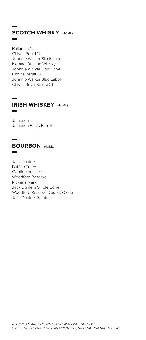# **SCOTCH WHISKY** (40ML)

Ballantine's Chivas Regal 12 Johnnie Walker Black Label Nomad Outland Whisky Johnnie Walker Gold Label Chivas Regal 18 Johnnie Walker Blue Label Chivas Royal Salute 21

#### **IRISH WHISKEY** (40ML)  $\blacksquare$

Jameson Jameson Black Barrel

### **BOURBON** (40ML)

Jack Daniel's **Buffalo Trace** Gentleman Jack Woodford Reserve Maker's Mark Jack Daniel's Single Barrel Woodford Reserve Double Oaked Jack Daniel's Sinatra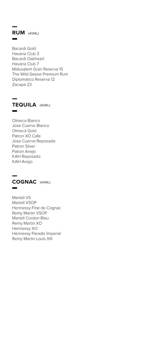### **RUM** (40ML)

Bacardi Gold Havana Club 3 Bacardi Oakheart Havana Club 7 Matusalem Gran Reserva 15 The Wild Geese Premium Rum Diplomatico Reserva 12 Zacapa 23



Olmeca Blanco Jose Cuervo Blanco Olmeca Gold Patron XO Cafe Jose Cuervo Reposado Patron Silver Patron Anejo KAH Reposado KAH Anejo



Martell VS Martell VSOP Hennessy Fine de Cognac Remy Martin VSOP Martell Cordon Bleu Remy Martin XO Hennessy XO Hennessy Paradis Imperial Remy Martin Louis XIII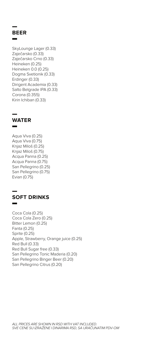# **BEER**

SkyLounge Lager (0.33) Zaječarsko (0.33) Zaječarsko Crno (0.33) Heineken (0.25) Heineken 0.0 (0.25) Dogma Svetionik (0.33) Erdinger (0.33) Dirigent Academia (0.33) Salto Belgrade IPA (0.33) Corona (0.355) Kirin Ichiban (0.33)



Aqua Viva (0.25) Aqua Viva (0.75) Knjaz Miloš (0.25) Knjaz Miloš (0.75) Acqua Panna (0.25) Acqua Panna (0.75) San Pellegrino (0.25) San Pellegrino (0.75) Evian (0.75)



Coca Cola (0.25) Coca Cola Zero (0.25) Bitter Lemon (0.25) Fanta (0.25) Sprite (0.25) Apple, Strawberry, Orange juice (0.25) Red Bull (0.33) Red Bull Sugar free (0.33) San Pellegrino Tonic Maderia (0.20) San Pellegrino Binger Beer (0.20) San Pellegrino Citrus (0.20)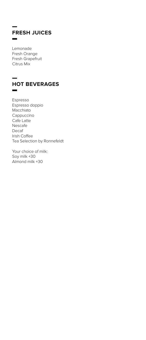### **FRESH JUICES**  $\equiv$

Lemonade Fresh Orange Fresh Grapefruit Citrus Mix

### **HOT BEVERAGES**  $\blacksquare$

Espresso Espresso doppio Macchiato Cappuccino Cafe Latte Nescafe Decaf Irish Coffee Tea Selection by Ronnefeldt

Your choice of milk: Soy milk +30 Almond milk +30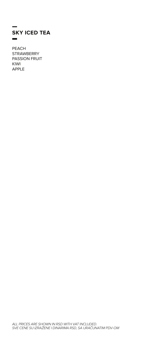### **SKY ICED TEA**  $\blacksquare$

**PEACH STRAWBERRY PASSION FRUIT** KIWI **APPLE**